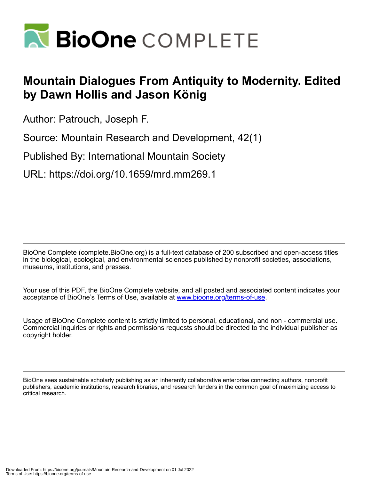

## **Mountain Dialogues From Antiquity to Modernity. Edited by Dawn Hollis and Jason König**

Author: Patrouch, Joseph F.

Source: Mountain Research and Development, 42(1)

Published By: International Mountain Society

URL: https://doi.org/10.1659/mrd.mm269.1

BioOne Complete (complete.BioOne.org) is a full-text database of 200 subscribed and open-access titles in the biological, ecological, and environmental sciences published by nonprofit societies, associations, museums, institutions, and presses.

Your use of this PDF, the BioOne Complete website, and all posted and associated content indicates your acceptance of BioOne's Terms of Use, available at www.bioone.org/terms-of-use.

Usage of BioOne Complete content is strictly limited to personal, educational, and non - commercial use. Commercial inquiries or rights and permissions requests should be directed to the individual publisher as copyright holder.

BioOne sees sustainable scholarly publishing as an inherently collaborative enterprise connecting authors, nonprofit publishers, academic institutions, research libraries, and research funders in the common goal of maximizing access to critical research.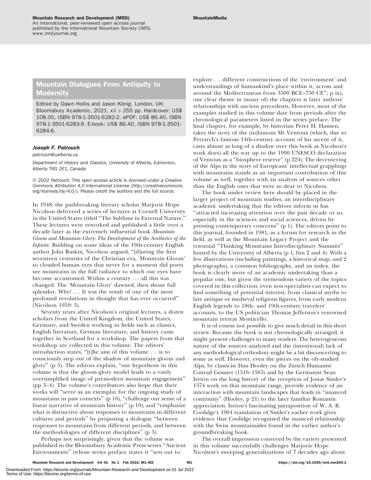An international, peer-reviewed open access journal published by the International Mountain Society (IMS) www.mrd-journal.org

## Mountain Dialogues From Antiquity to Modernity

Edited by Dawn Hollis and Jason König. London, UK: Bloomsbury Academic, 2021. xii  $+$  255 pp. Hardcover: US\$ 108.00, ISBN 978-1-3501-6282-2. ePDF: US\$ 86.40, ISBN 978-1-3501-6283-9. E-book: US\$ 86.40, ISBN 978-1-3501- 6284-6.

## Joseph F. Patrouch

[patrouch@ualberta.ca](mailto:patrouch@ualberta.ca)

Department of History and Classics, University of Alberta, Edmonton, Alberta T6G 2E1, Canada

© 2022 Patrouch. This open access article is licensed under a Creative Commons Attribution 4.0 International License [\(http://creativecommons.](http://creativecommons.org/licenses/by/4.0/) [org/licenses/by/4.0/\)](http://creativecommons.org/licenses/by/4.0/). Please credit the authors and the full source.

In 1948, the pathbreaking literary scholar Marjorie Hope Nicolson delivered a series of lectures at Cornell University in the United States titled ''The Sublime in External Nature.'' These lectures were reworked and published a little over a decade later as the extremely influential book Mountain Gloom and Mountain Glory: The Development of the Aesthetics of the Infinite. Building on some ideas of the 19th-century English author John Ruskin, Nicolson argued, ''[d]uring the first seventeen centuries of the Christian era, 'Mountain Gloom' so clouded human eyes that never for a moment did poets see mountains in the full radiance to which our eyes have become accustomed. Within a century ... all this was changed. The 'Mountain Glory' dawned, then shone full splendor. Why? ... It was the result of one of the most profound revolutions in thought that has ever occurred'' (Nicolson 1959: 3).

Seventy years after Nicolson's original lectures, a dozen scholars from the United Kingdom, the United States, Germany, and Sweden working in fields such as classics, English literature, German literature, and history came together in Scotland for a workshop. The papers from that workshop are collected in this volume. The editors' introduction states, ''[t]he aim of this volume ... is to consciously step out of the shadow of mountain gloom and glory'' (p 5). The editors explain, ''our hypothesis in this volume is that the gloom-glory model leads to a vastly oversimplified image of premodern mountain engagement'' (pp 3–4). The volume's contributors also hope that their works will ''serve as an exemplar for the ongoing study of mountains in past contexts" (p 16), "challenge our sense of a linear narrative of mountain history'' (p 10), and ''emphasize what is distinctive about responses to mountains in different cultures and periods'' by proposing a dialogue ''between responses to mountains from different periods, and between the methodologies of different disciplines'' (p 5).

Perhaps not surprisingly, given that the volume was published in the Bloomsbury Academic Press series ''Ancient Environments'' (whose series preface states it ''sets out to

explore ... different constructions of the 'environment' and understandings of humankind's place within it, across and around the Mediterranean from 3500 BCE–750 CE''; p ix), one clear theme in (many of) the chapters is later authors' relationships with ancient precedents. However, most of the examples studied in this volume date from periods after the chronological parameters listed in the series preface. The final chapter, for example, by historian Peter H. Hansen, takes the story of the (in)famous Mt Ventoux (which, due to Petrarch's famous 14th-century account of his ascent of it, casts almost as long of a shadow over this book as Nicolson's work does) all the way up to the 1990 UNESCO declaration of Ventoux as a ''biosphere reserve'' (p 224). The decentering of the Alps in the story of Europeans' intellectual grapplings with mountains stands as an important contribution of this volume as well, together with an analysis of sources other than the English ones that were so dear to Nicolson.

The book under review here should be placed in the larger project of mountain studies, an interdisciplinary academic undertaking that the editors inform us has ''attracted increasing attention over the past decade or so, especially in the sciences and social sciences, driven by pressing contemporary concerns'' (p 1). The editors point to this journal, founded in 1981, as a forum for research in the field, as well as the Mountain Legacy Project and the triennial ''Thinking Mountains Interdisciplinary Summits'' hosted by the University of Alberta (p 1, fnn 2 and 4). With a few illustrations (including paintings, a historical map, and 2 photographs), a common bibliography, and an index, the book is clearly more of an academic undertaking than a popular one, but given the tremendous variety of the topics covered in this collection, even non-specialists can expect to find something of potential interest, from classical myths to late antique or medieval religious figures, from early modern English legends to 18th- and 19th-century travelers' accounts, to the US politician Thomas Jefferson's renowned mountain retreat Monticello.

It is of course not possible to give much detail in this short review. Because the book is not chronologically arranged, it might present challenges to many readers. The heterogeneous nature of the sources analyzed and the (intentional) lack of any methodological orthodoxy might be a bit disconcerting to some as well. However, even the pieces on the oft-studied Alps, by classicist Dan Hooley on the Zurich Humanist Conrad Gessner (1516–1565) and by the Germanist Sean Ireton on the long history of the reception of Josias Simler's 1574 work on that mountain range, provide evidence of an interaction with mountain landscapes that leads in ''nuanced continuity'' (Hooley, p 21) to the later familiar Romantic appreciation. Ireton's fascinating juxtaposition of W. A. B. Coolidge's 1904 translation of Simler's earlier work gives evidence that Coolidge recognized the nuanced relationship with the Swiss mountainsides found in the earlier author's groundbreaking book.

The overall impression conveyed by the variety presented in this volume successfully challenges Marjorie Hope Nicolson's sweeping generalizations of 7 decades ago about